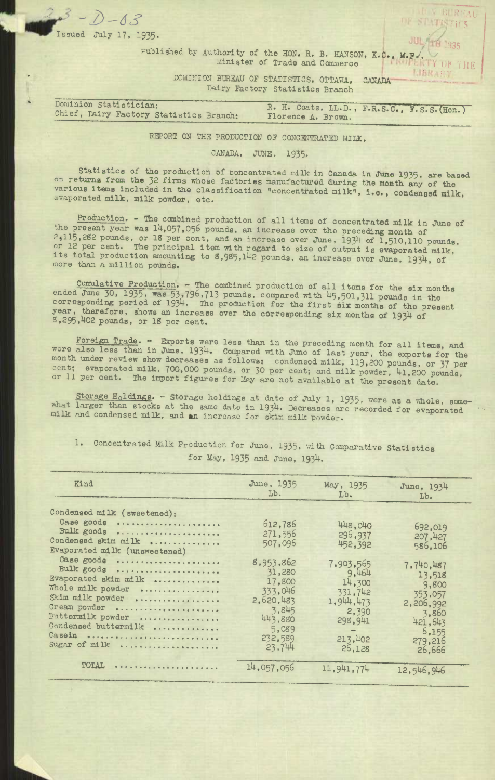Issued July 17, 1935.

 $-D-03$ 

Published by Authority of the HON. R. B. HANSON, K.C., M.P., Minister of Trade and Commerce

> DOMINION BUREAU OF STATISTICS, OTTAWA, CANADA Dairy Factory Statistics Branch

**SEAT PEAR** 

FY OF THE

DE STATISTICS

**JUL/118 1935** 

**LIBRARY** 

| Dominion Statistician:                                                                                         |                                             |  |  |  |
|----------------------------------------------------------------------------------------------------------------|---------------------------------------------|--|--|--|
|                                                                                                                |                                             |  |  |  |
| Chief, Dairy Factory Statistics Branch:                                                                        | R. H. Coats, LL.D., F.R.S.C., F.S.S. (Hon.) |  |  |  |
|                                                                                                                | Florence A. Brown.                          |  |  |  |
| and the continuum company of the continuum of the continuum of the continuum of the continuum of the continuum |                                             |  |  |  |

REPORT ON THE PRODUCTION OF CONCENTRATED MILK.

CANADA. JUNE, 1935.

Statistics of the production of concentrated milk in Canada in June 1935, are based on returns from the 32 firms whose factories manufactured during the month any of the various items included in the classification "concentrated milk", i.e., condensed milk, evaporated milk, milk powder, etc.

Production. - The combined production of all items of concentrated milk in June of the present year was 14,057,056 pounds, an increase over the preceding month of 2,115,282 pounds, or 18 per cent, and an increase over June, 1934 of 1,510,110 pounds, or 12 per cent. The principal item with regard to size of output is evaporated milk, its total production amounting to 8,985,142 pounds, an increase over June, 1934, of more than a million pounds.

Cumulative Production. - The combined production of all items for the six months ended June 30, 1935, was 53,796,713 pounds, compared with 45,501,311 pounds in the corresponding period of 1934. The production for the first six months of the present year, therefore, shows an increase over the corresponding six months of 1934 of 8,295,402 pounds, or 18 per cent.

Foreign Trade. - Exports were less than in the preceding month for all items, and were also less than in June, 1934. Compared with June of last year, the exports for the month under review show decreases as follows: condensed milk, 119,200 pounds, or 37 per cent; evaporated milk, 700,000 pounds, or 30 per cent; and milk powder, 41,200 pounds, or 11 per cent. The import figures for May are

Storage Holdings. - Storage holdings at date of July 1, 1935, were as a whole, somewhat larger than stocks at the same date in 1934. Decreases are recorded for evaporated milk and condensed milk, and an increase for skim milk powder.

| Kind                                                                                                                                                                              | June, 1935<br>Lb.                                                                                       | May, 1935<br>Lb.                                                                              | June, 1934<br>Lb.                                                                                      |
|-----------------------------------------------------------------------------------------------------------------------------------------------------------------------------------|---------------------------------------------------------------------------------------------------------|-----------------------------------------------------------------------------------------------|--------------------------------------------------------------------------------------------------------|
| Condensed milk (sweetened):<br>Case goods<br>Bulk goods<br>Condensed skim milk<br>Evaporated milk (unsweetened)                                                                   | 612.786<br>271,556<br>507,096                                                                           | 448.040<br>296,937<br>452,392                                                                 | 692,019<br>207,427<br>586,106                                                                          |
| Case goods<br>Bulk goods<br>Evaporated skim milk<br>Whole milk powder<br>Skim milk powder<br>Cream powder<br>Buttermilk powder<br>Condensed buttermilk<br>Casein<br>Sugar of milk | 8,953,862<br>31,280<br>17,800<br>333,046<br>2,620,483<br>3,845<br>443,880<br>5,089<br>232,589<br>23.744 | 7,903,565<br>9.464<br>14,300<br>331.742<br>1,944,473<br>2,390<br>298,941<br>213,402<br>26,128 | 7.740.487<br>13,518<br>9,800<br>353,057<br>2,206,992<br>3,860<br>421.643<br>6,155<br>279,216<br>26,666 |
| TOTAL                                                                                                                                                                             | 14,057,056                                                                                              | 11,941,774                                                                                    | 12,546.946                                                                                             |

1. Concentrated Milk Production for June, 1935, with Comparative Statistics for May, 1935 and June, 1934.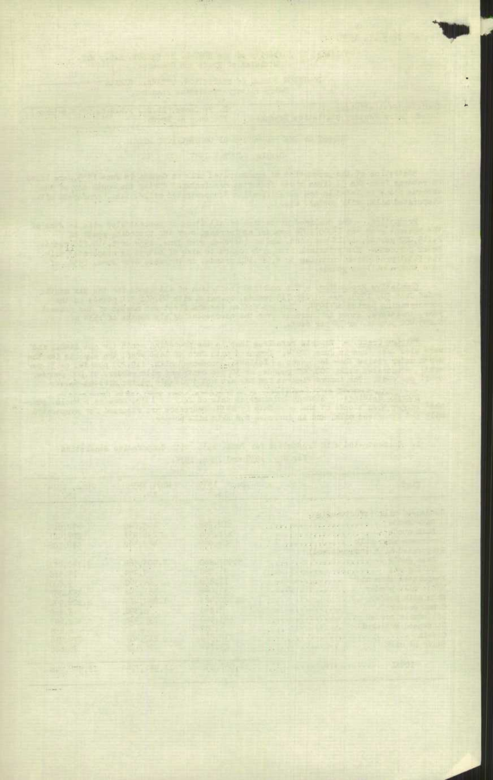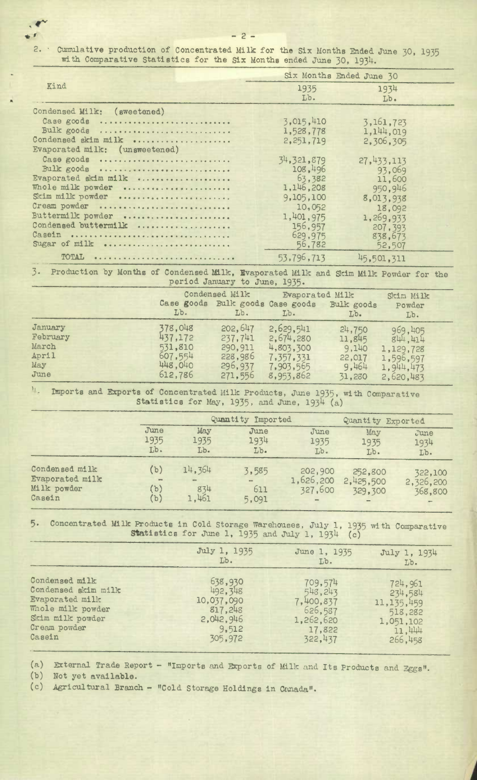$\bullet$  $2.$ 

 $\cdot$ 

Cumulative production of Concentrated Milk for the Six Months Ended June 30, 1935 with Comparative Statistics for the Six Months ended June 30, 1934.

|                                              | Six Months Ended June 30 |              |  |  |
|----------------------------------------------|--------------------------|--------------|--|--|
| Kind                                         | 1935                     | 1934         |  |  |
|                                              | Lb.                      | Lb.          |  |  |
| Condensed Milk: (sweetened)                  |                          |              |  |  |
| Case goods                                   | 3,015,410                | 3,161,723    |  |  |
| Bulk goods                                   | 1,528,778                | 1,144,019    |  |  |
| Condensed skim milk                          | 2,251,719                | 2,306,305    |  |  |
| Evaporated milk: (unsweetened)               |                          |              |  |  |
| Case goods                                   | 34, 321, 879             | 27, 433, 113 |  |  |
| Bulk goods                                   | 108,496                  | 93,069       |  |  |
| Evaporated skim milk                         | 63,382                   | 11,600       |  |  |
| Whole milk powder                            | 1,146,208                | 950,946      |  |  |
| Skim milk powder                             | 9,105,100                | 8,013,938    |  |  |
| Cream powder                                 | 10,052                   | 18,092       |  |  |
| Buttermilk powder                            | 1,401,975                | 1,269,933    |  |  |
| Condensed buttermilk                         | 156,957                  | 207, 393     |  |  |
| Casein                                       | 629,975                  | 838,673      |  |  |
| Sugar of milk                                | 56,782                   | 52,507       |  |  |
| TOTAL <b>*******************************</b> | 53,796,713               | 45,501,311   |  |  |

Production by Months of Condensed Milk, Evaporated Milk and Skim Milk Powder for the period January to June, 1935-

|                                                      | Lb.                                                            | Condensed Milk<br>Lb.                                            | <b>Evaporated Milk</b><br>Lb.                                              | Case goods Bulk goods Case goods Bulk goods<br>Lb.     | Skim Milk<br>Powder<br>Lb.                                             |
|------------------------------------------------------|----------------------------------------------------------------|------------------------------------------------------------------|----------------------------------------------------------------------------|--------------------------------------------------------|------------------------------------------------------------------------|
| January<br>February<br>March<br>April<br>May<br>June | 378,048<br>437,172<br>531,810<br>607,554<br>448,040<br>612,786 | 202, 647<br>237,741<br>290, 911<br>228,986<br>296,937<br>271,556 | 2,629,541<br>2,674,280<br>4,803,300<br>7,357,331<br>7,903,565<br>8,953,862 | 24,750<br>11,845<br>9,140<br>22,017<br>9,464<br>31,280 | 969,405<br>844,414<br>1,129,728<br>1,596,597<br>1,944,473<br>2,620,483 |

. Imports and Exports of Concentrated Milk Products, June 1935, with Comparative Statistics for May, 1935, and June, 1934 (a)

|                                                            |                             | Quantity Imported      |                                         |                                 | Quantity Exported               |                                 |
|------------------------------------------------------------|-----------------------------|------------------------|-----------------------------------------|---------------------------------|---------------------------------|---------------------------------|
|                                                            | June<br>1935<br>Lb.         | May<br>1935<br>Lb.     | June<br>1934<br>Lb.                     | June<br>1935<br>Lb.             | May<br>1935<br>Lb.              | June<br>1934<br>Lb.             |
| Condensed milk<br>Evaporated milk<br>Milk powder<br>Casein | (b)<br>$\sim$<br>(b)<br>(b) | 14,364<br>834<br>1,461 | 3,585<br><b>Service</b><br>611<br>5,091 | 202,900<br>1,626,200<br>327,600 | 252,800<br>2,425,500<br>329,300 | 322,100<br>2,326,200<br>368,800 |

5. Concentrated. Milk Products in Cold. Storage Warehouses, July 1, 1935 with Comparative Statistics for June 1, 1935 and July 1, 1934 (c)

|                     | July 1, 1935 | June 1, 1935 | July 1, 1934 |
|---------------------|--------------|--------------|--------------|
|                     | $Lb$ .       | Lb.          | Lb.          |
| Condensed milk      | 638,930      | 709,574      | 724,961      |
| Condensed skim milk | 492.348      | 548,243      | 234,584      |
| Evaporated milk     | 10,037,090   | 7,400,837    | 11, 135, 459 |
| Whole milk powder   | 817,248      | 626.587      | 518,282      |
| Skim milk powder    | 2,042,946    | 1,262,620    | 1,051,102    |
| Cream powder        | 9,512        | 17,822       | 11,444       |
| Casein              | 305,972      | 322,437      | 266,458      |

(a) External Trade Report - "Imports and Exports of Milk and Its Products and Eggs".

(b) Not yet available.

Agricultural Branch - "Cold Storage Holdings in Canada".